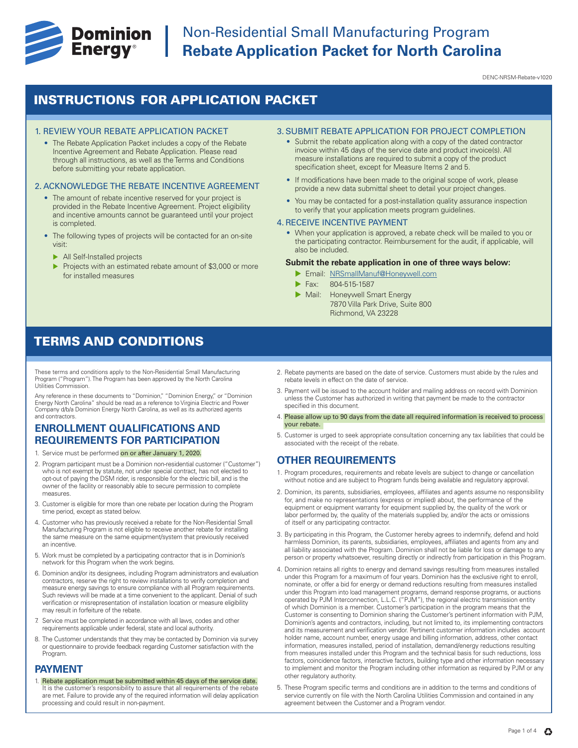

DENC-NRSM-Rebate-v1020

## INSTRUCTIONS FOR APPLICATION PACKET

#### 1. REVIEW YOUR REBATE APPLICATION PACKET

• The Rebate Application Packet includes a copy of the Rebate Incentive Agreement and Rebate Application. Please read through all instructions, as well as the Terms and Conditions before submitting your rebate application.

#### 2. ACKNOWLEDGE THE REBATE INCENTIVE AGREEMENT

- The amount of rebate incentive reserved for your project is provided in the Rebate Incentive Agreement. Project eligibility and incentive amounts cannot be guaranteed until your project is completed.
- The following types of projects will be contacted for an on-site visit:
	- $\blacktriangleright$  All Self-Installed projects
	- Projects with an estimated rebate amount of \$3,000 or more for installed measures

#### 3. SUBMIT REBATE APPLICATION FOR PROJECT COMPLETION

- Submit the rebate application along with a copy of the dated contractor invoice within 45 days of the service date and product invoice(s). All measure installations are required to submit a copy of the product specification sheet, except for Measure Items 2 and 5.
- If modifications have been made to the original scope of work, please provide a new data submittal sheet to detail your project changes.
- You may be contacted for a post-installation quality assurance inspection to verify that your application meets program guidelines.

#### 4. RECEIVE INCENTIVE PAYMENT

• When your application is approved, a rebate check will be mailed to you or the participating contractor. Reimbursement for the audit, if applicable, will also be included.

#### **Submit the rebate application in one of three ways below:**

- **Email: NRSmallManuf@Honeywell.com**
- Fax: 804-515-1587
- Mail: Honeywell Smart Energy 7870 Villa Park Drive, Suite 800 Richmond, VA 23228

## TERMS AND CONDITIONS

These terms and conditions apply to the Non-Residential Small Manufacturing Program ("Program"). The Program has been approved by the North Carolina Utilities Commission.

Any reference in these documents to "Dominion," "Dominion Energy," or "Dominion Energy North Carolina" should be read as a reference to Virginia Electric and Power Company d/b/a Dominion Energy North Carolina, as well as its authorized agents and contractors.

### **ENROLLMENT QUALIFICATIONS AND REQUIREMENTS FOR PARTICIPATION**

- 1. Service must be performed on or after January 1, 2020.
- 2. Program participant must be a Dominion non-residential customer ("Customer") who is not exempt by statute, not under special contract, has not elected to opt-out of paying the DSM rider, is responsible for the electric bill, and is the owner of the facility or reasonably able to secure permission to complete measures.
- 3. Customer is eligible for more than one rebate per location during the Program time period, except as stated below.
- 4. Customer who has previously received a rebate for the Non-Residential Small Manufacturing Program is not eligible to receive another rebate for installing the same measure on the same equipment/system that previously received an incentive.
- 5. Work must be completed by a participating contractor that is in Dominion's network for this Program when the work begins.
- 6. Dominion and/or its designees, including Program administrators and evaluation contractors, reserve the right to review installations to verify completion and measure energy savings to ensure compliance with all Program requirements. Such reviews will be made at a time convenient to the applicant. Denial of such verification or misrepresentation of installation location or measure eligibility may result in forfeiture of the rebate.
- 7. Service must be completed in accordance with all laws, codes and other requirements applicable under federal, state and local authority.
- 8. The Customer understands that they may be contacted by Dominion via survey or questionnaire to provide feedback regarding Customer satisfaction with the Program.

#### **PAYMENT**

1. Rebate application must be submitted within 45 days of the service date. It is the customer's responsibility to assure that all requirements of the rebate are met. Failure to provide any of the required information will delay application processing and could result in non-payment.

- 2. Rebate payments are based on the date of service. Customers must abide by the rules and rebate levels in effect on the date of service.
- 3. Payment will be issued to the account holder and mailing address on record with Dominion unless the Customer has authorized in writing that payment be made to the contractor specified in this document.
- 4. Please allow up to 90 days from the date all required information is received to process your rebate.
- 5. Customer is urged to seek appropriate consultation concerning any tax liabilities that could be associated with the receipt of the rebate.

### **OTHER REQUIREMENTS**

- 1. Program procedures, requirements and rebate levels are subject to change or cancellation without notice and are subject to Program funds being available and regulatory approval.
- 2. Dominion, its parents, subsidiaries, employees, affiliates and agents assume no responsibility for, and make no representations (express or implied) about, the performance of the equipment or equipment warranty for equipment supplied by, the quality of the work or labor performed by, the quality of the materials supplied by, and/or the acts or omissions of itself or any participating contractor.
- 3. By participating in this Program, the Customer hereby agrees to indemnify, defend and hold harmless Dominion, its parents, subsidiaries, employees, affiliates and agents from any and all liability associated with the Program. Dominion shall not be liable for loss or damage to any person or property whatsoever, resulting directly or indirectly from participation in this Program.
- 4. Dominion retains all rights to energy and demand savings resulting from measures installed under this Program for a maximum of four years. Dominion has the exclusive right to enroll, nominate, or offer a bid for energy or demand reductions resulting from measures installed under this Program into load management programs, demand response programs, or auctions operated by PJM Interconnection, L.L.C. ("PJM"), the regional electric transmission entity of which Dominion is a member. Customer's participation in the program means that the Customer is consenting to Dominion sharing the Customer's pertinent information with PJM, Dominion's agents and contractors, including, but not limited to, its implementing contractors and its measurement and verification vendor. Pertinent customer information includes account holder name, account number, energy usage and billing information, address, other contact information, measures installed, period of installation, demand/energy reductions resulting from measures installed under this Program and the technical basis for such reductions, loss factors, coincidence factors, interactive factors, building type and other information necessary to implement and monitor the Program including other information as required by PJM or any other regulatory authority.
- 5. These Program specific terms and conditions are in addition to the terms and conditions of service currently on file with the North Carolina Utilities Commission and contained in any agreement between the Customer and a Program vendor.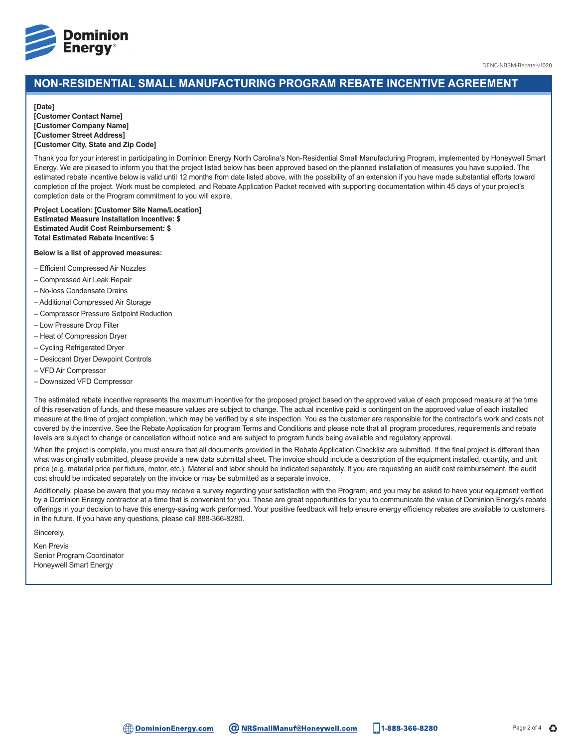

## **NON-RESIDENTIAL SMALL MANUFACTURING PROGRAM REBATE INCENTIVE AGREEMENT**

#### **[Date]**

**[Customer Contact Name] [Customer Company Name] [Customer Street Address] [Customer City, State and Zip Code]**

Thank you for your interest in participating in Dominion Energy North Carolina's Non-Residential Small Manufacturing Program, implemented by Honeywell Smart Energy. We are pleased to inform you that the project listed below has been approved based on the planned installation of measures you have supplied. The estimated rebate incentive below is valid until 12 months from date listed above, with the possibility of an extension if you have made substantial efforts toward completion of the project. Work must be completed, and Rebate Application Packet received with supporting documentation within 45 days of your project's completion date or the Program commitment to you will expire.

**Project Location: [Customer Site Name/Location] Estimated Measure Installation Incentive: \$ Estimated Audit Cost Reimbursement: \$ Total Estimated Rebate Incentive: \$**

#### **Below is a list of approved measures:**

- Efficient Compressed Air Nozzles
- Compressed Air Leak Repair
- No-loss Condensate Drains
- Additional Compressed Air Storage
- Compressor Pressure Setpoint Reduction
- Low Pressure Drop Filter
- Heat of Compression Dryer
- Cycling Refrigerated Dryer
- Desiccant Dryer Dewpoint Controls
- VFD Air Compressor
- Downsized VFD Compressor

The estimated rebate incentive represents the maximum incentive for the proposed project based on the approved value of each proposed measure at the time of this reservation of funds, and these measure values are subject to change. The actual incentive paid is contingent on the approved value of each installed measure at the time of project completion, which may be verified by a site inspection. You as the customer are responsible for the contractor's work and costs not covered by the incentive. See the Rebate Application for program Terms and Conditions and please note that all program procedures, requirements and rebate levels are subject to change or cancellation without notice and are subject to program funds being available and regulatory approval.

When the project is complete, you must ensure that all documents provided in the Rebate Application Checklist are submitted. If the final project is different than what was originally submitted, please provide a new data submittal sheet. The invoice should include a description of the equipment installed, quantity, and unit price (e.g. material price per fixture, motor, etc.). Material and labor should be indicated separately. If you are requesting an audit cost reimbursement, the audit cost should be indicated separately on the invoice or may be submitted as a separate invoice.

Additionally, please be aware that you may receive a survey regarding your satisfaction with the Program, and you may be asked to have your equipment verified by a Dominion Energy contractor at a time that is convenient for you. These are great opportunities for you to communicate the value of Dominion Energy's rebate offerings in your decision to have this energy-saving work performed. Your positive feedback will help ensure energy efficiency rebates are available to customers in the future. If you have any questions, please call 888-366-8280.

Sincerely,

Ken Previs Senior Program Coordinator Honeywell Smart Energy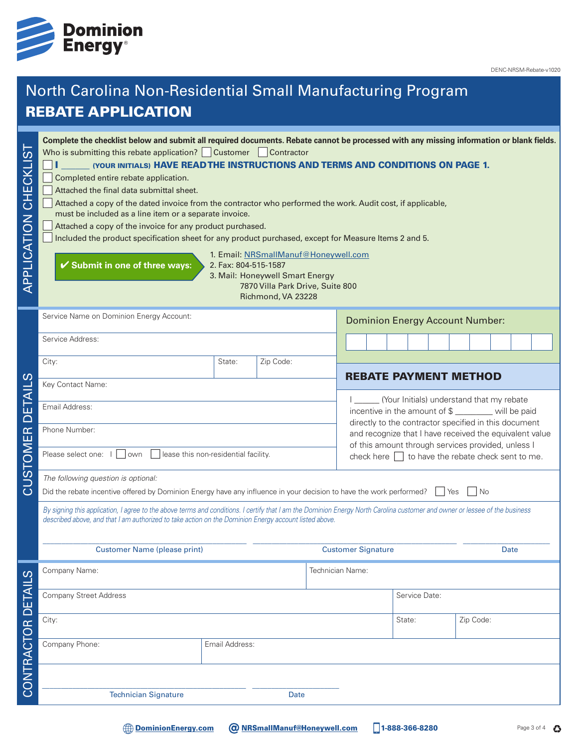

DENC-NRSM-Rebate-v1020

# North Carolina Non-Residential Small Manufacturing Program REBATE APPLICATION

| .<br>(ກ<br>APPLICATION CHECKLI | Complete the checklist below and submit all required documents. Rebate cannot be processed with any missing information or blank fields.<br>Who is submitting this rebate application? Customer Contractor<br>(YOUR INITIALS) HAVE READ THE INSTRUCTIONS AND TERMS AND CONDITIONS ON PAGE 1.<br>Completed entire rebate application.<br>Attached the final data submittal sheet.<br>Attached a copy of the dated invoice from the contractor who performed the work. Audit cost, if applicable,<br>must be included as a line item or a separate invoice.<br>Attached a copy of the invoice for any product purchased.<br>Included the product specification sheet for any product purchased, except for Measure Items 2 and 5.<br>1. Email: NRSmallManuf@Honeywell.com<br>✔ Submit in one of three ways:<br>2. Fax: 804-515-1587<br>3. Mail: Honeywell Smart Energy<br>7870 Villa Park Drive, Suite 800<br>Richmond, VA 23228 |                                                                                                                                   |                                                                                                                                                          |  |                                                        |                                        |           |  |  |  |
|--------------------------------|--------------------------------------------------------------------------------------------------------------------------------------------------------------------------------------------------------------------------------------------------------------------------------------------------------------------------------------------------------------------------------------------------------------------------------------------------------------------------------------------------------------------------------------------------------------------------------------------------------------------------------------------------------------------------------------------------------------------------------------------------------------------------------------------------------------------------------------------------------------------------------------------------------------------------------|-----------------------------------------------------------------------------------------------------------------------------------|----------------------------------------------------------------------------------------------------------------------------------------------------------|--|--------------------------------------------------------|----------------------------------------|-----------|--|--|--|
|                                | Service Name on Dominion Energy Account:<br>Service Address:                                                                                                                                                                                                                                                                                                                                                                                                                                                                                                                                                                                                                                                                                                                                                                                                                                                                   |                                                                                                                                   |                                                                                                                                                          |  |                                                        | <b>Dominion Energy Account Number:</b> |           |  |  |  |
|                                | City:<br>Key Contact Name:                                                                                                                                                                                                                                                                                                                                                                                                                                                                                                                                                                                                                                                                                                                                                                                                                                                                                                     | State:                                                                                                                            | Zip Code:                                                                                                                                                |  |                                                        | <b>REBATE PAYMENT METHOD</b>           |           |  |  |  |
|                                | Email Address:                                                                                                                                                                                                                                                                                                                                                                                                                                                                                                                                                                                                                                                                                                                                                                                                                                                                                                                 |                                                                                                                                   | (Your Initials) understand that my rebate<br>incentive in the amount of \$ _______ will be paid<br>directly to the contractor specified in this document |  |                                                        |                                        |           |  |  |  |
| ш<br>$\overline{\cap}$         | Phone Number:                                                                                                                                                                                                                                                                                                                                                                                                                                                                                                                                                                                                                                                                                                                                                                                                                                                                                                                  |                                                                                                                                   |                                                                                                                                                          |  |                                                        |                                        |           |  |  |  |
| STOMER                         |                                                                                                                                                                                                                                                                                                                                                                                                                                                                                                                                                                                                                                                                                                                                                                                                                                                                                                                                |                                                                                                                                   | and recognize that I have received the equivalent value<br>of this amount through services provided, unless I                                            |  |                                                        |                                        |           |  |  |  |
|                                | Please select one: I<br>lease this non-residential facility.<br>own                                                                                                                                                                                                                                                                                                                                                                                                                                                                                                                                                                                                                                                                                                                                                                                                                                                            |                                                                                                                                   |                                                                                                                                                          |  | check here $\Box$ to have the rebate check sent to me. |                                        |           |  |  |  |
| <u>ನ</u>                       | The following question is optional:                                                                                                                                                                                                                                                                                                                                                                                                                                                                                                                                                                                                                                                                                                                                                                                                                                                                                            | Did the rebate incentive offered by Dominion Energy have any influence in your decision to have the work performed? ■ Yes<br>  No |                                                                                                                                                          |  |                                                        |                                        |           |  |  |  |
|                                | By signing this application, I agree to the above terms and conditions. I certify that I am the Dominion Energy North Carolina customer and owner or lessee of the business<br>described above, and that I am authorized to take action on the Dominion Energy account listed above.                                                                                                                                                                                                                                                                                                                                                                                                                                                                                                                                                                                                                                           |                                                                                                                                   |                                                                                                                                                          |  |                                                        |                                        |           |  |  |  |
|                                | <b>Customer Name (please print)</b>                                                                                                                                                                                                                                                                                                                                                                                                                                                                                                                                                                                                                                                                                                                                                                                                                                                                                            | <b>Customer Signature</b>                                                                                                         |                                                                                                                                                          |  |                                                        |                                        | Date      |  |  |  |
|                                | Company Name:                                                                                                                                                                                                                                                                                                                                                                                                                                                                                                                                                                                                                                                                                                                                                                                                                                                                                                                  |                                                                                                                                   |                                                                                                                                                          |  |                                                        | Technician Name:                       |           |  |  |  |
|                                | <b>Company Street Address</b>                                                                                                                                                                                                                                                                                                                                                                                                                                                                                                                                                                                                                                                                                                                                                                                                                                                                                                  |                                                                                                                                   |                                                                                                                                                          |  |                                                        | Service Date:                          |           |  |  |  |
|                                | City:                                                                                                                                                                                                                                                                                                                                                                                                                                                                                                                                                                                                                                                                                                                                                                                                                                                                                                                          |                                                                                                                                   |                                                                                                                                                          |  |                                                        | State:                                 | Zip Code: |  |  |  |
| CONTRACTOR DETAILS             | Company Phone:<br>Email Address:                                                                                                                                                                                                                                                                                                                                                                                                                                                                                                                                                                                                                                                                                                                                                                                                                                                                                               |                                                                                                                                   |                                                                                                                                                          |  |                                                        |                                        |           |  |  |  |
|                                |                                                                                                                                                                                                                                                                                                                                                                                                                                                                                                                                                                                                                                                                                                                                                                                                                                                                                                                                |                                                                                                                                   |                                                                                                                                                          |  |                                                        |                                        |           |  |  |  |
|                                | <b>Technician Signature</b>                                                                                                                                                                                                                                                                                                                                                                                                                                                                                                                                                                                                                                                                                                                                                                                                                                                                                                    |                                                                                                                                   | Date                                                                                                                                                     |  |                                                        |                                        |           |  |  |  |